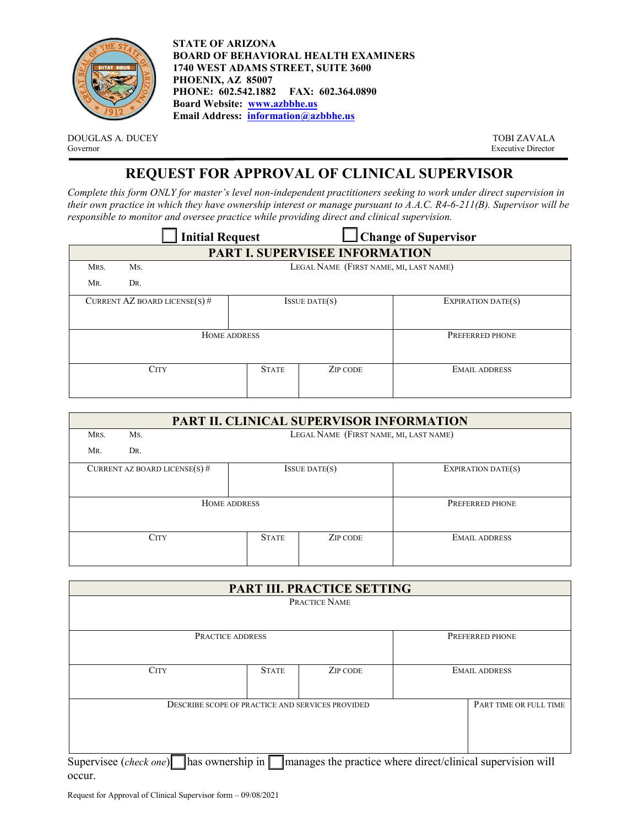

**STATE OF ARIZONA BOARD OF BEHAVIORAL HEALTH EXAMINERS 1740 WEST ADAMS STREET, SUITE 3600 PHOENIX, AZ 85007 PHONE: 602.542.1882 FAX: 602.364.0890 Board Website: [www.azbbhe.us](http://www.azbbhe.us/)  Email Address: [information@azbbhe.us](mailto:information@azbbhe.us)**

DOUGLAS A. DUCEY TOBI ZAVALA Governor TOBI ZAVALA Governor TOBI ZAVALA

Executive Director

## **REQUEST FOR APPROVAL OF CLINICAL SUPERVISOR**

*Complete this form ONLY for master's level non-independent practitioners seeking to work under direct supervision in their own practice in which they have ownership interest or manage pursuant to A.A.C. R4-6-211(B). Supervisor will be responsible to monitor and oversee practice while providing direct and clinical supervision.* 

| <b>Initial Request</b>         |                               |                                        | <b>Change of Supervisor</b> |                      |  |  |
|--------------------------------|-------------------------------|----------------------------------------|-----------------------------|----------------------|--|--|
| PART I. SUPERVISEE INFORMATION |                               |                                        |                             |                      |  |  |
| MRS.                           | Ms.                           | LEGAL NAME (FIRST NAME, MI, LAST NAME) |                             |                      |  |  |
| MR.                            | DR.                           |                                        |                             |                      |  |  |
|                                | CURRENT AZ BOARD LICENSE(S) # | $I$ SSUE DATE $(s)$                    |                             | EXPIRATION DATE(S)   |  |  |
| HOME ADDRESS                   |                               |                                        |                             | PREFERRED PHONE      |  |  |
| <b>CITY</b>                    |                               | <b>STATE</b>                           | ZIP CODE                    | <b>EMAIL ADDRESS</b> |  |  |

|      | PART II. CLINICAL SUPERVISOR INFORMATION |                                        |                     |                      |  |  |
|------|------------------------------------------|----------------------------------------|---------------------|----------------------|--|--|
| MRS. | Ms.                                      | LEGAL NAME (FIRST NAME, MI, LAST NAME) |                     |                      |  |  |
| MR.  | DR.                                      |                                        |                     |                      |  |  |
|      | CURRENT AZ BOARD LICENSE(S) $#$          |                                        | $I$ SSUE DATE $(s)$ | EXPIRATION DATE(S)   |  |  |
|      | HOME ADDRESS                             | PREFERRED PHONE                        |                     |                      |  |  |
|      | <b>CITY</b>                              |                                        | ZIP CODE            | <b>EMAIL ADDRESS</b> |  |  |

| <b>PART III. PRACTICE SETTING</b>                            |                        |                                                             |                 |                      |  |
|--------------------------------------------------------------|------------------------|-------------------------------------------------------------|-----------------|----------------------|--|
| PRACTICE NAME                                                |                        |                                                             |                 |                      |  |
|                                                              |                        |                                                             |                 |                      |  |
| <b>PRACTICE ADDRESS</b>                                      |                        |                                                             | PREFERRED PHONE |                      |  |
|                                                              |                        |                                                             |                 |                      |  |
| <b>CITY</b>                                                  | <b>STATE</b>           | ZIP CODE                                                    |                 | <b>EMAIL ADDRESS</b> |  |
|                                                              |                        |                                                             |                 |                      |  |
| DESCRIBE SCOPE OF PRACTICE AND SERVICES PROVIDED             | PART TIME OR FULL TIME |                                                             |                 |                      |  |
|                                                              |                        |                                                             |                 |                      |  |
|                                                              |                        |                                                             |                 |                      |  |
| Thas ownership in $\vert$<br>Supervisee ( <i>check one</i> ) |                        | manages the practice where direct/clinical supervision will |                 |                      |  |

occur.